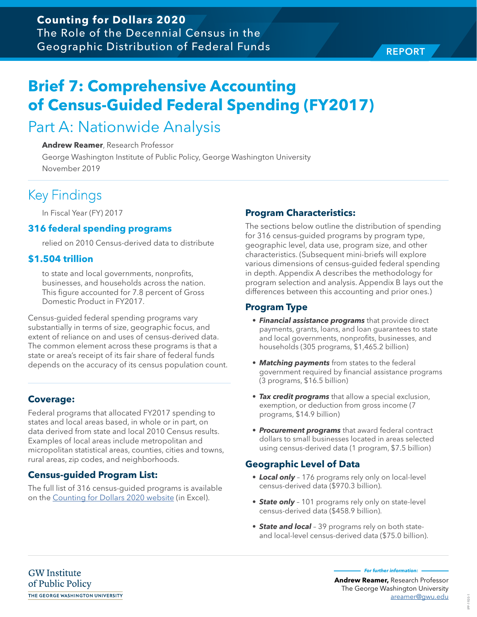# **Brief 7: Comprehensive Accounting of Census-Guided Federal Spending (FY2017)**

# Part A: Nationwide Analysis

## **Andrew Reamer**, Research Professor

George Washington Institute of Public Policy, George Washington University November 2019

# Key Findings

In Fiscal Year (FY) 2017

## **316 federal spending programs**

relied on 2010 Census-derived data to distribute

## **\$1.504 trillion**

to state and local governments, nonprofits, businesses, and households across the nation. This figure accounted for 7.8 percent of Gross Domestic Product in FY2017.

Census-guided federal spending programs vary substantially in terms of size, geographic focus, and extent of reliance on and uses of census-derived data. The common element across these programs is that a state or area's receipt of its fair share of federal funds depends on the accuracy of its census population count.

## **Coverage:**

Federal programs that allocated FY2017 spending to states and local areas based, in whole or in part, on data derived from state and local 2010 Census results. Examples of local areas include metropolitan and micropolitan statistical areas, counties, cities and towns, rural areas, zip codes, and neighborhoods.

## **Census-guided Program List:**

The full list of 316 census-guided programs is available on the [Counting for Dollars 2020 website](https://gwipp.gwu.edu/counting-dollars-2020-role-decennial-census-geographic-distribution-federal-funds) (in Excel).

## **Program Characteristics:**

The sections below outline the distribution of spending for 316 census-guided programs by program type, geographic level, data use, program size, and other characteristics. (Subsequent mini-briefs will explore various dimensions of census-guided federal spending in depth. Appendix A describes the methodology for program selection and analysis. Appendix B lays out the differences between this accounting and prior ones.)

## **Program Type**

- **• Financial assistance programs** that provide direct payments, grants, loans, and loan guarantees to state and local governments, nonprofits, businesses, and households (305 programs, \$1,465.2 billion)
- **• Matching payments** from states to the federal government required by financial assistance programs (3 programs, \$16.5 billion)
- **• Tax credit programs** that allow a special exclusion, exemption, or deduction from gross income (7 programs, \$14.9 billion)
- **• Procurement programs** that award federal contract dollars to small businesses located in areas selected using census-derived data (1 program, \$7.5 billion)

## **Geographic Level of Data**

- **• Local only** 176 programs rely only on local-level census-derived data (\$970.3 billion).
- **• State only** 101 programs rely only on state-level census-derived data (\$458.9 billion).
- **• State and local** 39 programs rely on both stateand local-level census-derived data (\$75.0 billion).

**GW** Institute of Public Policy THE GEORGE WASHINGTON UNIVERSITY **For further information:** 

IPP-1920-1

920-F4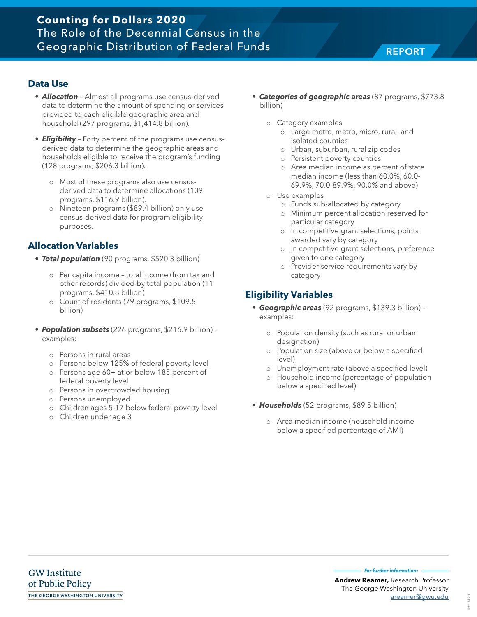## **Data Use**

- **• Allocation**  Almost all programs use census-derived data to determine the amount of spending or services provided to each eligible geographic area and household (297 programs, \$1,414.8 billion).
- **• Eligibility** Forty percent of the programs use censusderived data to determine the geographic areas and households eligible to receive the program's funding (128 programs, \$206.3 billion).
	- o Most of these programs also use censusderived data to determine allocations (109 programs, \$116.9 billion).
	- o Nineteen programs (\$89.4 billion) only use census-derived data for program eligibility purposes.

## **Allocation Variables**

- **• Total population** (90 programs, \$520.3 billion)
	- o Per capita income total income (from tax and other records) divided by total population (11 programs, \$410.8 billion)
	- o Count of residents (79 programs, \$109.5 billion)
- **• Population subsets** (226 programs, \$216.9 billion) examples:
	- o Persons in rural areas
	- o Persons below 125% of federal poverty level
	- o Persons age 60+ at or below 185 percent of federal poverty level
	- o Persons in overcrowded housing
	- o Persons unemployed
	- o Children ages 5-17 below federal poverty level
	- o Children under age 3
- **• Categories of geographic areas** (87 programs, \$773.8 billion)
	- o Category examples
		- o Large metro, metro, micro, rural, and isolated counties
		- o Urban, suburban, rural zip codes
		- o Persistent poverty counties
		- o Area median income as percent of state median income (less than 60.0%, 60.0- 69.9%, 70.0-89.9%, 90.0% and above)
	- o Use examples
		- o Funds sub-allocated by category
		- o Minimum percent allocation reserved for particular category
		- o In competitive grant selections, points awarded vary by category
		- o In competitive grant selections, preference given to one category
		- o Provider service requirements vary by category

## **Eligibility Variables**

- **• Geographic areas** (92 programs, \$139.3 billion) examples:
	- o Population density (such as rural or urban designation)
	- o Population size (above or below a specified level)
	- o Unemployment rate (above a specified level)
	- o Household income (percentage of population below a specified level)
- **• Households** (52 programs, \$89.5 billion)
	- o Area median income (household income below a specified percentage of AMI)

**Andrew Reamer,** Research Professor **For further information:**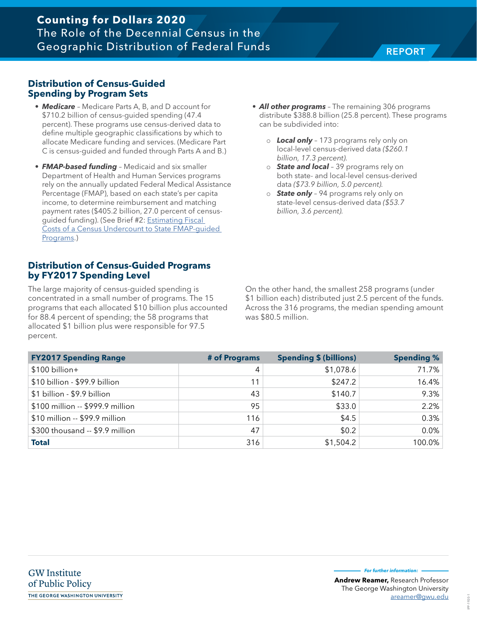## **Counting for Dollars 2020** The Role of the Decennial Census in the Geographic Distribution of Federal Funds REPORT

## **Distribution of Census-Guided Spending by Program Sets**

- **• Medicare** Medicare Parts A, B, and D account for \$710.2 billion of census-guided spending (47.4 percent). These programs use census-derived data to define multiple geographic classifications by which to allocate Medicare funding and services. (Medicare Part C is census-guided and funded through Parts A and B.)
- **• FMAP-based funding** Medicaid and six smaller Department of Health and Human Services programs rely on the annually updated Federal Medical Assistance Percentage (FMAP), based on each state's per capita income, to determine reimbursement and matching payment rates (\$405.2 billion, 27.0 percent of censusguided funding). (See Brief #2: [Estimating Fiscal](https://gwipp.gwu.edu/sites/g/files/zaxdzs2181/f/downloads/GWIPP%20Reamer%20Fiscal%20Impacts%20of%20Census%20Undercount%20on%20FMAP-based%20Programs%2003-19-18.pdf)  [Costs of a Census Undercount to State FMAP-guided](https://gwipp.gwu.edu/sites/g/files/zaxdzs2181/f/downloads/GWIPP%20Reamer%20Fiscal%20Impacts%20of%20Census%20Undercount%20on%20FMAP-based%20Programs%2003-19-18.pdf)  [Programs](https://gwipp.gwu.edu/sites/g/files/zaxdzs2181/f/downloads/GWIPP%20Reamer%20Fiscal%20Impacts%20of%20Census%20Undercount%20on%20FMAP-based%20Programs%2003-19-18.pdf).)

## **Distribution of Census-Guided Programs by FY2017 Spending Level**

The large majority of census-guided spending is concentrated in a small number of programs. The 15 programs that each allocated \$10 billion plus accounted for 88.4 percent of spending; the 58 programs that allocated \$1 billion plus were responsible for 97.5 percent.

- **• All other programs** The remaining 306 programs distribute \$388.8 billion (25.8 percent). These programs can be subdivided into:
	- o **Local only** 173 programs rely only on local-level census-derived data *(\$260.1 billion, 17.3 percent).*
	- o **State and local** 39 programs rely on both state- and local-level census-derived data *(\$73.9 billion, 5.0 percent).*
	- o **State only** 94 programs rely only on state-level census-derived data *(\$53.7 billion, 3.6 percent).*

On the other hand, the smallest 258 programs (under \$1 billion each) distributed just 2.5 percent of the funds. Across the 316 programs, the median spending amount was \$80.5 million.

| <b>FY2017 Spending Range</b>     | # of Programs | <b>Spending \$ (billions)</b> | <b>Spending %</b> |
|----------------------------------|---------------|-------------------------------|-------------------|
| \$100 billion+                   | 4             | \$1,078.6                     | 71.7%             |
| \$10 billion - \$99.9 billion    | 11            | \$247.2                       | 16.4%             |
| \$1 billion - \$9.9 billion      | 43            | \$140.7                       | 9.3%              |
| \$100 million -- \$999.9 million | 95            | \$33.0                        | 2.2%              |
| \$10 million -- \$99.9 million   | 116           | \$4.5                         | 0.3%              |
| \$300 thousand -- \$9.9 million  | 47            | \$0.2\$                       | 0.0%              |
| <b>Total</b>                     | 316           | \$1,504.2                     | 100.0%            |

**For further information:**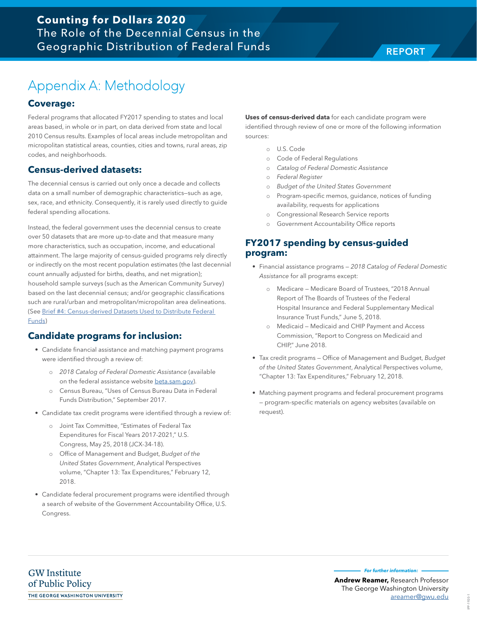# Appendix A: Methodology

## **Coverage:**

Federal programs that allocated FY2017 spending to states and local areas based, in whole or in part, on data derived from state and local 2010 Census results. Examples of local areas include metropolitan and micropolitan statistical areas, counties, cities and towns, rural areas, zip codes, and neighborhoods.

## **Census-derived datasets:**

The decennial census is carried out only once a decade and collects data on a small number of demographic characteristics—such as age, sex, race, and ethnicity. Consequently, it is rarely used directly to guide federal spending allocations.

Instead, the federal government uses the decennial census to create over 50 datasets that are more up-to-date and that measure many more characteristics, such as occupation, income, and educational attainment. The large majority of census-guided programs rely directly or indirectly on the most recent population estimates (the last decennial count annually adjusted for births, deaths, and net migration); household sample surveys (such as the American Community Survey) based on the last decennial census; and/or geographic classifications such are rural/urban and metropolitan/micropolitan area delineations. (See [Brief #4: Census-derived Datasets Used to Distribute Federal](https://gwipp.gwu.edu/sites/g/files/zaxdzs2181/f/downloads/GWIPP%20Reamer%20Fiscal%20Impacts%20of%20Census%20Undercount%20on%20FMAP-based%20Programs%2003-19-18.pdf)  [Funds](https://gwipp.gwu.edu/sites/g/files/zaxdzs2181/f/downloads/GWIPP%20Reamer%20Fiscal%20Impacts%20of%20Census%20Undercount%20on%20FMAP-based%20Programs%2003-19-18.pdf))

## **Candidate programs for inclusion:**

- Candidate financial assistance and matching payment programs were identified through a review of:
	- o *2018 Catalog of Federal Domestic Assistance* (available on the federal assistance website [beta.sam.gov](https://beta.sam.gov/)).
	- o Census Bureau, "Uses of Census Bureau Data in Federal Funds Distribution," September 2017.
- Candidate tax credit programs were identified through a review of:
	- o Joint Tax Committee, "Estimates of Federal Tax Expenditures for Fiscal Years 2017-2021," U.S. Congress, May 25, 2018 (JCX-34-18).
	- o Office of Management and Budget, *Budget of the United States Government*, Analytical Perspectives volume, "Chapter 13: Tax Expenditures," February 12, 2018.
- Candidate federal procurement programs were identified through a search of website of the Government Accountability Office, U.S. Congress.

**Uses of census-derived data** for each candidate program were identified through review of one or more of the following information sources:

- o U.S. Code
- o Code of Federal Regulations
- o *Catalog of Federal Domestic Assistance*
- o *Federal Register*
- o *Budget of the United States Government*
- o Program-specific memos, guidance, notices of funding availability, requests for applications
- o Congressional Research Service reports
- Government Accountability Office reports

## **FY2017 spending by census-guided program:**

- Financial assistance programs *2018 Catalog of Federal Domestic Assistance* for all programs except:
	- o Medicare Medicare Board of Trustees, "2018 Annual Report of The Boards of Trustees of the Federal Hospital Insurance and Federal Supplementary Medical Insurance Trust Funds," June 5, 2018.
	- o Medicaid Medicaid and CHIP Payment and Access Commission, "Report to Congress on Medicaid and CHIP," June 2018.
- Tax credit programs Office of Management and Budget, *Budget of the United States Government*, Analytical Perspectives volume, "Chapter 13: Tax Expenditures," February 12, 2018.
- Matching payment programs and federal procurement programs — program-specific materials on agency websites (available on request).

**For further information:**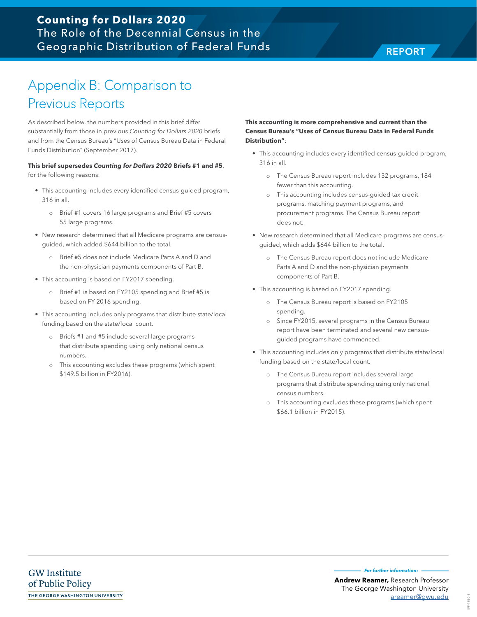# Appendix B: Comparison to Previous Reports

As described below, the numbers provided in this brief differ substantially from those in previous *Counting for Dollars 2020* briefs and from the Census Bureau's "Uses of Census Bureau Data in Federal Funds Distribution" (September 2017).

### **This brief supersedes Counting for Dollars 2020 Briefs #1 and #5**,

for the following reasons:

- This accounting includes every identified census-guided program, 316 in all.
	- o Brief #1 covers 16 large programs and Brief #5 covers 55 large programs.
- New research determined that all Medicare programs are censusguided, which added \$644 billion to the total.
	- o Brief #5 does not include Medicare Parts A and D and the non-physician payments components of Part B.
- This accounting is based on FY2017 spending.
	- o Brief #1 is based on FY2105 spending and Brief #5 is based on FY 2016 spending.
- This accounting includes only programs that distribute state/local funding based on the state/local count.
	- o Briefs #1 and #5 include several large programs that distribute spending using only national census numbers.
	- o This accounting excludes these programs (which spent \$149.5 billion in FY2016).

### **This accounting is more comprehensive and current than the Census Bureau's "Uses of Census Bureau Data in Federal Funds Distribution"**:

- This accounting includes every identified census-guided program, 316 in all.
	- o The Census Bureau report includes 132 programs, 184 fewer than this accounting.
	- o This accounting includes census-guided tax credit programs, matching payment programs, and procurement programs. The Census Bureau report does not.
- New research determined that all Medicare programs are censusguided, which adds \$644 billion to the total.
	- o The Census Bureau report does not include Medicare Parts A and D and the non-physician payments components of Part B.
- This accounting is based on FY2017 spending.
	- o The Census Bureau report is based on FY2105 spending.
	- o Since FY2015, several programs in the Census Bureau report have been terminated and several new censusguided programs have commenced.
- This accounting includes only programs that distribute state/local funding based on the state/local count.
	- o The Census Bureau report includes several large programs that distribute spending using only national census numbers.
	- This accounting excludes these programs (which spent \$66.1 billion in FY2015).

IPP-1920-1

920-1 곱